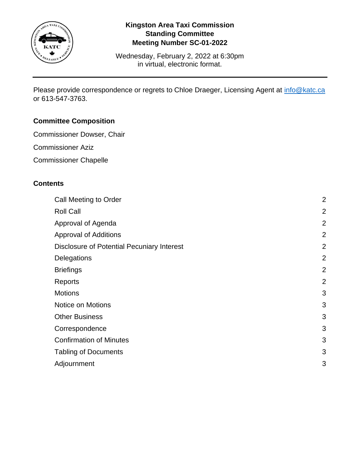

## **Kingston Area Taxi Commission Standing Committee Meeting Number SC-01-2022**

Wednesday, February 2, 2022 at 6:30pm in virtual, electronic format.

Please provide correspondence or regrets to Chloe Draeger, Licensing Agent at [info@katc.ca](mailto:info@katc.ca) or 613-547-3763.

# **Committee Composition**

- Commissioner Dowser, Chair
- Commissioner Aziz
- Commissioner Chapelle

## **Contents**

| Call Meeting to Order                             | $\overline{2}$ |
|---------------------------------------------------|----------------|
| <b>Roll Call</b>                                  | $\overline{2}$ |
| Approval of Agenda                                | $\overline{2}$ |
| <b>Approval of Additions</b>                      | $\overline{2}$ |
| <b>Disclosure of Potential Pecuniary Interest</b> | $\overline{2}$ |
| Delegations                                       | $\overline{2}$ |
| <b>Briefings</b>                                  | $\overline{2}$ |
| Reports                                           | $\overline{2}$ |
| <b>Motions</b>                                    | 3              |
| Notice on Motions                                 | 3              |
| <b>Other Business</b>                             | 3              |
| Correspondence                                    | 3              |
| <b>Confirmation of Minutes</b>                    | 3              |
| <b>Tabling of Documents</b>                       | 3              |
| Adjournment                                       | 3              |
|                                                   |                |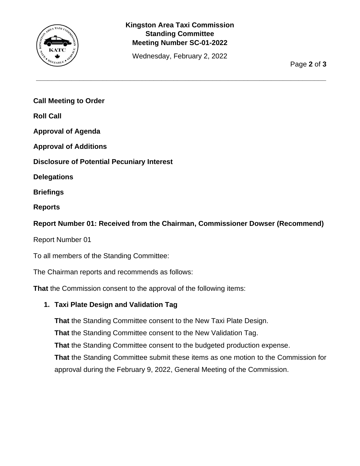

## **Kingston Area Taxi Commission Standing Committee Meeting Number SC-01-2022**

Wednesday, February 2, 2022

**\_\_\_\_\_\_\_\_\_\_\_\_\_\_\_\_\_\_\_\_\_\_\_\_\_\_\_\_\_\_\_\_\_\_\_\_\_\_\_\_\_\_\_\_\_\_\_\_\_\_\_\_\_\_\_\_\_\_\_\_\_\_\_\_\_\_\_\_\_\_\_\_\_\_**

Page **2** of **3**

<span id="page-1-0"></span>**Call Meeting to Order**

<span id="page-1-1"></span>**Roll Call**

<span id="page-1-2"></span>**Approval of Agenda**

<span id="page-1-3"></span>**Approval of Additions**

<span id="page-1-4"></span>**Disclosure of Potential Pecuniary Interest**

<span id="page-1-5"></span>**Delegations**

<span id="page-1-6"></span>**Briefings**

<span id="page-1-7"></span>**Reports**

**Report Number 01: Received from the Chairman, Commissioner Dowser (Recommend)**

Report Number 01

To all members of the Standing Committee:

The Chairman reports and recommends as follows:

**That** the Commission consent to the approval of the following items:

## **1. Taxi Plate Design and Validation Tag**

**That** the Standing Committee consent to the New Taxi Plate Design. **That** the Standing Committee consent to the New Validation Tag. **That** the Standing Committee consent to the budgeted production expense. **That** the Standing Committee submit these items as one motion to the Commission for

approval during the February 9, 2022, General Meeting of the Commission.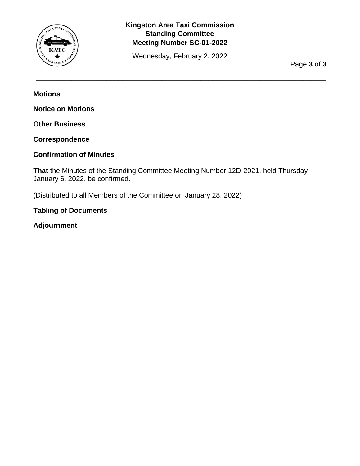

## **Kingston Area Taxi Commission Standing Committee Meeting Number SC-01-2022**

Wednesday, February 2, 2022

**\_\_\_\_\_\_\_\_\_\_\_\_\_\_\_\_\_\_\_\_\_\_\_\_\_\_\_\_\_\_\_\_\_\_\_\_\_\_\_\_\_\_\_\_\_\_\_\_\_\_\_\_\_\_\_\_\_\_\_\_\_\_\_\_\_\_\_\_\_\_\_\_\_\_**

Page **3** of **3**

<span id="page-2-0"></span>**Motions**

<span id="page-2-1"></span>**Notice on Motions**

<span id="page-2-2"></span>**Other Business**

<span id="page-2-3"></span>**Correspondence**

#### <span id="page-2-4"></span>**Confirmation of Minutes**

**That** the Minutes of the Standing Committee Meeting Number 12D-2021, held Thursday January 6, 2022, be confirmed.

(Distributed to all Members of the Committee on January 28, 2022)

#### <span id="page-2-5"></span>**Tabling of Documents**

<span id="page-2-6"></span>**Adjournment**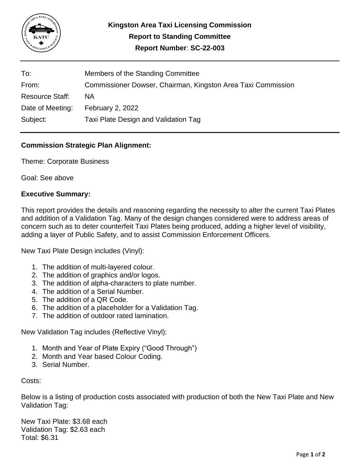

| To:                    | Members of the Standing Committee                            |
|------------------------|--------------------------------------------------------------|
| From:                  | Commissioner Dowser, Chairman, Kingston Area Taxi Commission |
| <b>Resource Staff:</b> | ΝA                                                           |
| Date of Meeting:       | February 2, 2022                                             |
| Subject:               | Taxi Plate Design and Validation Tag                         |

### **Commission Strategic Plan Alignment:**

Theme: Corporate Business

Goal: See above

#### **Executive Summary:**

This report provides the details and reasoning regarding the necessity to alter the current Taxi Plates and addition of a Validation Tag. Many of the design changes considered were to address areas of concern such as to deter counterfeit Taxi Plates being produced, adding a higher level of visibility, adding a layer of Public Safety, and to assist Commission Enforcement Officers.

New Taxi Plate Design includes (Vinyl):

- 1. The addition of multi-layered colour.
- 2. The addition of graphics and/or logos.
- 3. The addition of alpha-characters to plate number.
- 4. The addition of a Serial Number.
- 5. The addition of a QR Code.
- 6. The addition of a placeholder for a Validation Tag.
- 7. The addition of outdoor rated lamination.

New Validation Tag includes (Reflective Vinyl):

- 1. Month and Year of Plate Expiry ("Good Through")
- 2. Month and Year based Colour Coding.
- 3. Serial Number.

Costs:

Below is a listing of production costs associated with production of both the New Taxi Plate and New Validation Tag:

New Taxi Plate: \$3.68 each Validation Tag: \$2.63 each Total: \$6.31